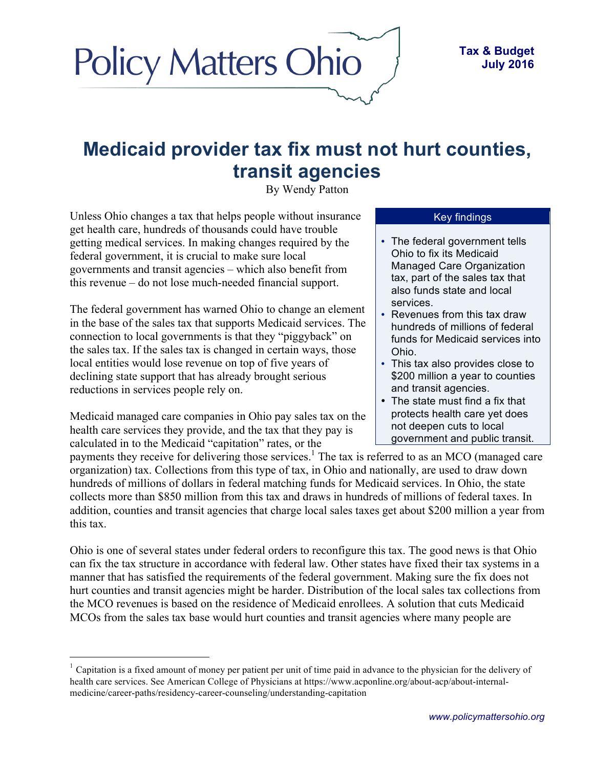# **Medicaid provider tax fix must not hurt counties, transit agencies**

By Wendy Patton

Unless Ohio changes a tax that helps people without insurance get health care, hundreds of thousands could have trouble getting medical services. In making changes required by the federal government, it is crucial to make sure local governments and transit agencies – which also benefit from this revenue – do not lose much-needed financial support.

**Policy Matters Ohio** 

The federal government has warned Ohio to change an element in the base of the sales tax that supports Medicaid services. The connection to local governments is that they "piggyback" on the sales tax. If the sales tax is changed in certain ways, those local entities would lose revenue on top of five years of declining state support that has already brought serious reductions in services people rely on.

Medicaid managed care companies in Ohio pay sales tax on the health care services they provide, and the tax that they pay is calculated in to the Medicaid "capitation" rates, or the

#### Key findings

- The federal government tells Ohio to fix its Medicaid Managed Care Organization tax, part of the sales tax that also funds state and local services.
- Revenues from this tax draw hundreds of millions of federal funds for Medicaid services into Ohio.
- This tax also provides close to \$200 million a year to counties and transit agencies.
- The state must find a fix that protects health care yet does not deepen cuts to local government and public transit.

payments they receive for delivering those services.<sup>1</sup> The tax is referred to as an MCO (managed care organization) tax. Collections from this type of tax, in Ohio and nationally, are used to draw down hundreds of millions of dollars in federal matching funds for Medicaid services. In Ohio, the state collects more than \$850 million from this tax and draws in hundreds of millions of federal taxes. In addition, counties and transit agencies that charge local sales taxes get about \$200 million a year from this tax.

Ohio is one of several states under federal orders to reconfigure this tax. The good news is that Ohio can fix the tax structure in accordance with federal law. Other states have fixed their tax systems in a manner that has satisfied the requirements of the federal government. Making sure the fix does not hurt counties and transit agencies might be harder. Distribution of the local sales tax collections from the MCO revenues is based on the residence of Medicaid enrollees. A solution that cuts Medicaid MCOs from the sales tax base would hurt counties and transit agencies where many people are

 <sup>1</sup> Capitation is a fixed amount of money per patient per unit of time paid in advance to the physician for the delivery of health care services. See American College of Physicians at https://www.acponline.org/about-acp/about-internalmedicine/career-paths/residency-career-counseling/understanding-capitation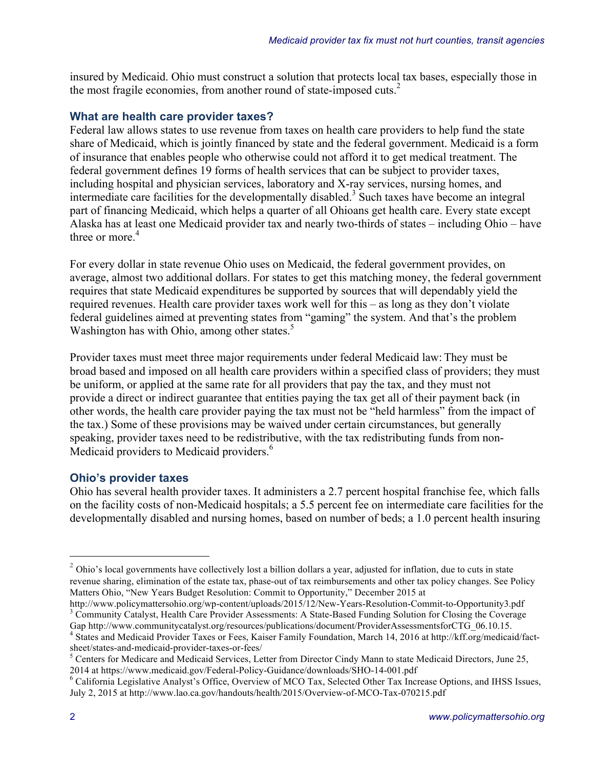insured by Medicaid. Ohio must construct a solution that protects local tax bases, especially those in the most fragile economies, from another round of state-imposed cuts.<sup>2</sup>

#### **What are health care provider taxes?**

Federal law allows states to use revenue from taxes on health care providers to help fund the state share of Medicaid, which is jointly financed by state and the federal government. Medicaid is a form of insurance that enables people who otherwise could not afford it to get medical treatment. The federal government defines 19 forms of health services that can be subject to provider taxes, including hospital and physician services, laboratory and X-ray services, nursing homes, and intermediate care facilities for the developmentally disabled.<sup>3</sup> Such taxes have become an integral part of financing Medicaid, which helps a quarter of all Ohioans get health care. Every state except Alaska has at least one Medicaid provider tax and nearly two-thirds of states – including Ohio – have three or more. $4$ 

For every dollar in state revenue Ohio uses on Medicaid, the federal government provides, on average, almost two additional dollars. For states to get this matching money, the federal government requires that state Medicaid expenditures be supported by sources that will dependably yield the required revenues. Health care provider taxes work well for this – as long as they don't violate federal guidelines aimed at preventing states from "gaming" the system. And that's the problem Washington has with Ohio, among other states.<sup>5</sup>

Provider taxes must meet three major requirements under federal Medicaid law: They must be broad based and imposed on all health care providers within a specified class of providers; they must be uniform, or applied at the same rate for all providers that pay the tax, and they must not provide a direct or indirect guarantee that entities paying the tax get all of their payment back (in other words, the health care provider paying the tax must not be "held harmless" from the impact of the tax.) Some of these provisions may be waived under certain circumstances, but generally speaking, provider taxes need to be redistributive, with the tax redistributing funds from non-Medicaid providers to Medicaid providers.<sup>6</sup>

#### **Ohio's provider taxes**

Ohio has several health provider taxes. It administers a 2.7 percent hospital franchise fee, which falls on the facility costs of non-Medicaid hospitals; a 5.5 percent fee on intermediate care facilities for the developmentally disabled and nursing homes, based on number of beds; a 1.0 percent health insuring

<sup>&</sup>lt;sup>2</sup> Ohio's local governments have collectively lost a billion dollars a year, adjusted for inflation, due to cuts in state revenue sharing, elimination of the estate tax, phase-out of tax reimbursements and other tax policy changes. See Policy Matters Ohio, "New Years Budget Resolution: Commit to Opportunity," December 2015 at

http://www.policymattersohio.org/wp-content/uploads/2015/12/New-Years-Resolution-Commit-to-Opportunity3.pdf 3 Community Catalyst, Health Care Provider Assessments: A State-Based Funding Solution for Closing the Coverage Gap http://www.communitycatalyst.org/resources/publications/document/ProviderAssessmentsforCTG\_06.10.15.

<sup>&</sup>lt;sup>4</sup> States and Medicaid Provider Taxes or Fees, Kaiser Family Foundation, March 14, 2016 at http://kff.org/medicaid/factsheet/states-and-medicaid-provider-taxes-or-fees/<br><sup>5</sup> Centers for Medicare and Medicaid Services, Letter from Director Cindy Mann to state Medicaid Directors, June 25,

<sup>2014</sup> at https://www.medicaid.gov/Federal-Policy-Guidance/downloads/SHO-14-001.pdf <sup>6</sup> California Legislative Analyst's Office, Overview of MCO Tax, Selected Other Tax Increase Options, and IHSS Issues, July 2, 2015 at http://www.lao.ca.gov/handouts/health/2015/Overview-of-MCO-Tax-070215.pdf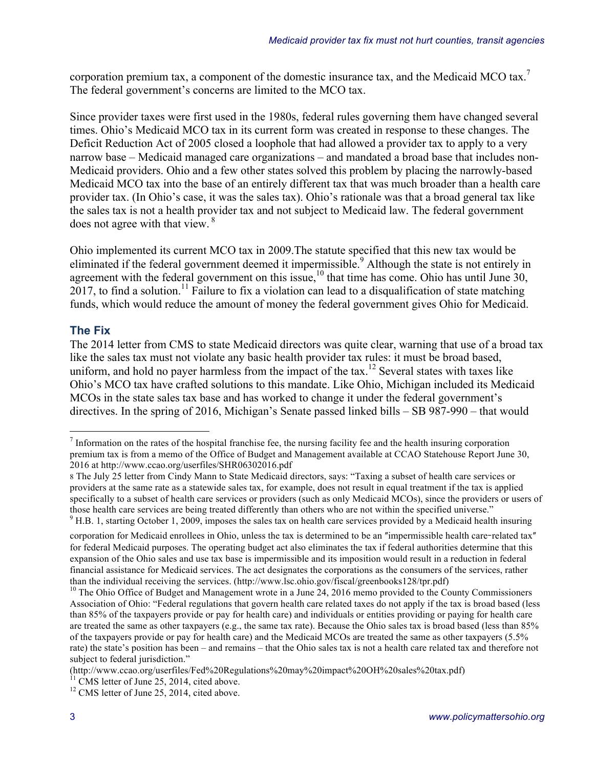corporation premium tax, a component of the domestic insurance tax, and the Medicaid MCO tax.<sup>7</sup> The federal government's concerns are limited to the MCO tax.

Since provider taxes were first used in the 1980s, federal rules governing them have changed several times. Ohio's Medicaid MCO tax in its current form was created in response to these changes. The Deficit Reduction Act of 2005 closed a loophole that had allowed a provider tax to apply to a very narrow base – Medicaid managed care organizations – and mandated a broad base that includes non-Medicaid providers. Ohio and a few other states solved this problem by placing the narrowly-based Medicaid MCO tax into the base of an entirely different tax that was much broader than a health care provider tax. (In Ohio's case, it was the sales tax). Ohio's rationale was that a broad general tax like the sales tax is not a health provider tax and not subject to Medicaid law. The federal government does not agree with that view.<sup>8</sup>

Ohio implemented its current MCO tax in 2009.The statute specified that this new tax would be eliminated if the federal government deemed it impermissible.<sup>9</sup> Although the state is not entirely in agreement with the federal government on this issue,  $10$  that time has come. Ohio has until June 30,  $2017$ , to find a solution.<sup>11</sup> Failure to fix a violation can lead to a disqualification of state matching funds, which would reduce the amount of money the federal government gives Ohio for Medicaid.

### **The Fix**

The 2014 letter from CMS to state Medicaid directors was quite clear, warning that use of a broad tax like the sales tax must not violate any basic health provider tax rules: it must be broad based, uniform, and hold no payer harmless from the impact of the  $\text{tax}.^{12}$  Several states with taxes like Ohio's MCO tax have crafted solutions to this mandate. Like Ohio, Michigan included its Medicaid MCOs in the state sales tax base and has worked to change it under the federal government's directives. In the spring of 2016, Michigan's Senate passed linked bills – SB 987-990 – that would

 $<sup>7</sup>$  Information on the rates of the hospital franchise fee, the nursing facility fee and the health insuring corporation</sup> premium tax is from a memo of the Office of Budget and Management available at CCAO Statehouse Report June 30, 2016 at http://www.ccao.org/userfiles/SHR06302016.pdf

<sup>8</sup> The July 25 letter from Cindy Mann to State Medicaid directors, says: "Taxing a subset of health care services or providers at the same rate as a statewide sales tax, for example, does not result in equal treatment if the tax is applied specifically to a subset of health care services or providers (such as only Medicaid MCOs), since the providers or users of those health care services are being treated differently than others who are not within the specified universe." <sup>9</sup> H.B. 1, starting October 1, 2009, imposes the sales tax on health care services provided by a Medicaid health insuring

corporation for Medicaid enrollees in Ohio, unless the tax is determined to be an "impermissible health care-related tax" for federal Medicaid purposes. The operating budget act also eliminates the tax if federal authorities determine that this expansion of the Ohio sales and use tax base is impermissible and its imposition would result in a reduction in federal financial assistance for Medicaid services. The act designates the corporations as the consumers of the services, rather than the individual receiving the services. (http://www.lsc.ohio.gov/fiscal/greenbooks128/tpr.pdf)

<sup>&</sup>lt;sup>10</sup> The Ohio Office of Budget and Management wrote in a June 24, 2016 memo provided to the County Commissioners Association of Ohio: "Federal regulations that govern health care related taxes do not apply if the tax is broad based (less than 85% of the taxpayers provide or pay for health care) and individuals or entities providing or paying for health care are treated the same as other taxpayers (e.g., the same tax rate). Because the Ohio sales tax is broad based (less than 85% of the taxpayers provide or pay for health care) and the Medicaid MCOs are treated the same as other taxpayers (5.5% rate) the state's position has been – and remains – that the Ohio sales tax is not a health care related tax and therefore not subject to federal jurisdiction."

<sup>(</sup>http://www.ccao.org/userfiles/Fed%20Regulations%20may%20impact%20OH%20sales%20tax.pdf)

<sup>&</sup>lt;sup>11</sup> CMS letter of June 25, 2014, cited above.<br><sup>12</sup> CMS letter of June 25, 2014, cited above.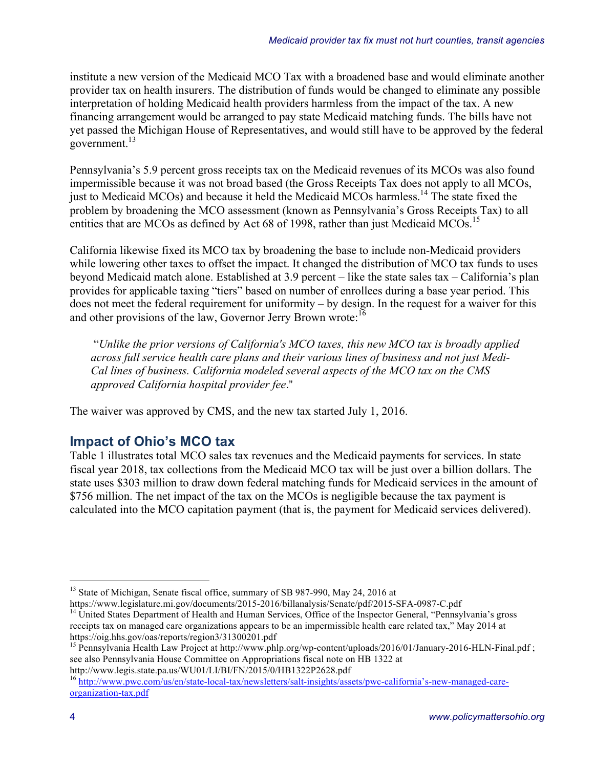institute a new version of the Medicaid MCO Tax with a broadened base and would eliminate another provider tax on health insurers. The distribution of funds would be changed to eliminate any possible interpretation of holding Medicaid health providers harmless from the impact of the tax. A new financing arrangement would be arranged to pay state Medicaid matching funds. The bills have not yet passed the Michigan House of Representatives, and would still have to be approved by the federal government.<sup>13</sup>

Pennsylvania's 5.9 percent gross receipts tax on the Medicaid revenues of its MCOs was also found impermissible because it was not broad based (the Gross Receipts Tax does not apply to all MCOs, just to Medicaid MCOs) and because it held the Medicaid MCOs harmless.<sup>14</sup> The state fixed the problem by broadening the MCO assessment (known as Pennsylvania's Gross Receipts Tax) to all entities that are MCOs as defined by Act 68 of 1998, rather than just Medicaid MCOs.<sup>15</sup>

California likewise fixed its MCO tax by broadening the base to include non-Medicaid providers while lowering other taxes to offset the impact. It changed the distribution of MCO tax funds to uses beyond Medicaid match alone. Established at 3.9 percent – like the state sales tax – California's plan provides for applicable taxing "tiers" based on number of enrollees during a base year period. This does not meet the federal requirement for uniformity – by design. In the request for a waiver for this and other provisions of the law, Governor Jerry Brown wrote:<sup>16</sup>

"*Unlike the prior versions of California's MCO taxes, this new MCO tax is broadly applied across full service health care plans and their various lines of business and not just Medi-Cal lines of business. California modeled several aspects of the MCO tax on the CMS approved California hospital provider fee*."

The waiver was approved by CMS, and the new tax started July 1, 2016.

## **Impact of Ohio's MCO tax**

Table 1 illustrates total MCO sales tax revenues and the Medicaid payments for services. In state fiscal year 2018, tax collections from the Medicaid MCO tax will be just over a billion dollars. The state uses \$303 million to draw down federal matching funds for Medicaid services in the amount of \$756 million. The net impact of the tax on the MCOs is negligible because the tax payment is calculated into the MCO capitation payment (that is, the payment for Medicaid services delivered).

<sup>13</sup> State of Michigan, Senate fiscal office, summary of SB 987-990, May 24, 2016 at https://www.legislature.mi.gov/documents/2015-2016/billanalysis/Senate/pdf/2015-SFA-0987-C.pdf

<sup>&</sup>lt;sup>14</sup> United States Department of Health and Human Services, Office of the Inspector General, "Pennsylvania's gross receipts tax on managed care organizations appears to be an impermissible health care related tax," May 2014 at https://oig.hhs.gov/oas/reports/region3/31300201.pdf<br>
<sup>15</sup> Pennsylvania Health Law Project at http://www.phlp.org/wp-content/uploads/2016/01/January-2016-HLN-Final.pdf ;

see also Pennsylvania House Committee on Appropriations fiscal note on HB 1322 at http://www.legis.state.pa.us/WU01/LI/BI/FN/2015/0/HB1322P2628.pdf

<sup>&</sup>lt;sup>16</sup> http://www.pwc.com/us/en/state-local-tax/newsletters/salt-insights/assets/pwc-california's-new-managed-careorganization-tax.pdf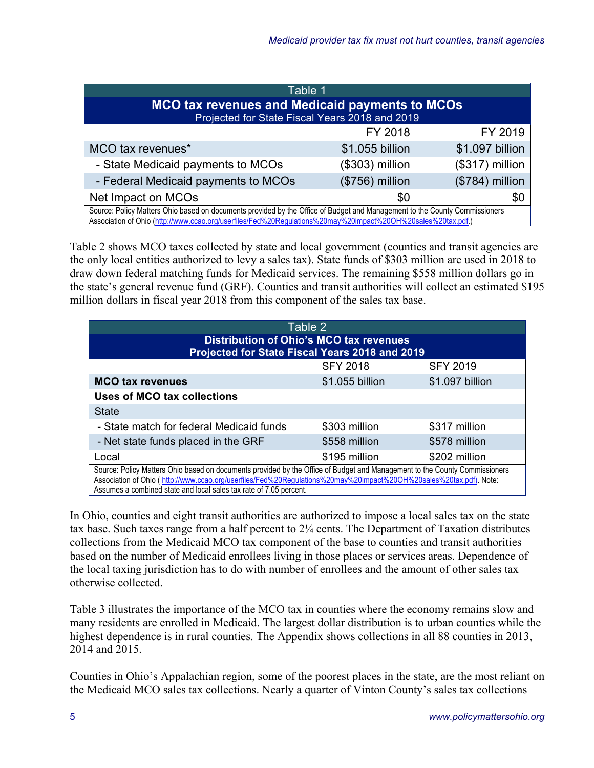| Table 1                                                                                                                                                                                                                                    |                 |                  |  |  |  |  |  |
|--------------------------------------------------------------------------------------------------------------------------------------------------------------------------------------------------------------------------------------------|-----------------|------------------|--|--|--|--|--|
| <b>MCO tax revenues and Medicaid payments to MCOs</b><br>Projected for State Fiscal Years 2018 and 2019                                                                                                                                    |                 |                  |  |  |  |  |  |
|                                                                                                                                                                                                                                            | FY 2018         | FY 2019          |  |  |  |  |  |
| MCO tax revenues*                                                                                                                                                                                                                          | \$1.055 billion | \$1.097 billion  |  |  |  |  |  |
| - State Medicaid payments to MCOs                                                                                                                                                                                                          | (\$303) million | $($317)$ million |  |  |  |  |  |
| - Federal Medicaid payments to MCOs<br>(\$756) million<br>(\$784) million                                                                                                                                                                  |                 |                  |  |  |  |  |  |
| Net Impact on MCOs<br>\$0<br>\$0                                                                                                                                                                                                           |                 |                  |  |  |  |  |  |
| Source: Policy Matters Ohio based on documents provided by the Office of Budget and Management to the County Commissioners<br>Association of Ohio (http://www.ccao.org/userfiles/Fed%20Regulations%20may%20impact%20OH%20sales%20tax.pdf.) |                 |                  |  |  |  |  |  |

Table 2 shows MCO taxes collected by state and local government (counties and transit agencies are the only local entities authorized to levy a sales tax). State funds of \$303 million are used in 2018 to draw down federal matching funds for Medicaid services. The remaining \$558 million dollars go in the state's general revenue fund (GRF). Counties and transit authorities will collect an estimated \$195 million dollars in fiscal year 2018 from this component of the sales tax base.

| Table 2                                                                                                                                                                                                                                                                                                                |                 |                 |  |  |  |  |  |
|------------------------------------------------------------------------------------------------------------------------------------------------------------------------------------------------------------------------------------------------------------------------------------------------------------------------|-----------------|-----------------|--|--|--|--|--|
| <b>Distribution of Ohio's MCO tax revenues</b><br>Projected for State Fiscal Years 2018 and 2019                                                                                                                                                                                                                       |                 |                 |  |  |  |  |  |
| <b>SFY 2018</b><br><b>SFY 2019</b>                                                                                                                                                                                                                                                                                     |                 |                 |  |  |  |  |  |
| <b>MCO tax revenues</b>                                                                                                                                                                                                                                                                                                | \$1.055 billion | \$1.097 billion |  |  |  |  |  |
| Uses of MCO tax collections                                                                                                                                                                                                                                                                                            |                 |                 |  |  |  |  |  |
| <b>State</b>                                                                                                                                                                                                                                                                                                           |                 |                 |  |  |  |  |  |
| - State match for federal Medicaid funds                                                                                                                                                                                                                                                                               | \$303 million   | \$317 million   |  |  |  |  |  |
| - Net state funds placed in the GRF                                                                                                                                                                                                                                                                                    | \$558 million   | \$578 million   |  |  |  |  |  |
| Local                                                                                                                                                                                                                                                                                                                  | \$195 million   | \$202 million   |  |  |  |  |  |
| Source: Policy Matters Ohio based on documents provided by the Office of Budget and Management to the County Commissioners<br>Association of Ohio (http://www.ccao.org/userfiles/Fed%20Regulations%20may%20impact%20OH%20sales%20tax.pdf). Note:<br>Assumes a combined state and local sales tax rate of 7.05 percent. |                 |                 |  |  |  |  |  |

In Ohio, counties and eight transit authorities are authorized to impose a local sales tax on the state tax base. Such taxes range from a half percent to  $2\frac{1}{4}$  cents. The Department of Taxation distributes collections from the Medicaid MCO tax component of the base to counties and transit authorities based on the number of Medicaid enrollees living in those places or services areas. Dependence of the local taxing jurisdiction has to do with number of enrollees and the amount of other sales tax otherwise collected.

Table 3 illustrates the importance of the MCO tax in counties where the economy remains slow and many residents are enrolled in Medicaid. The largest dollar distribution is to urban counties while the highest dependence is in rural counties. The Appendix shows collections in all 88 counties in 2013, 2014 and 2015.

Counties in Ohio's Appalachian region, some of the poorest places in the state, are the most reliant on the Medicaid MCO sales tax collections. Nearly a quarter of Vinton County's sales tax collections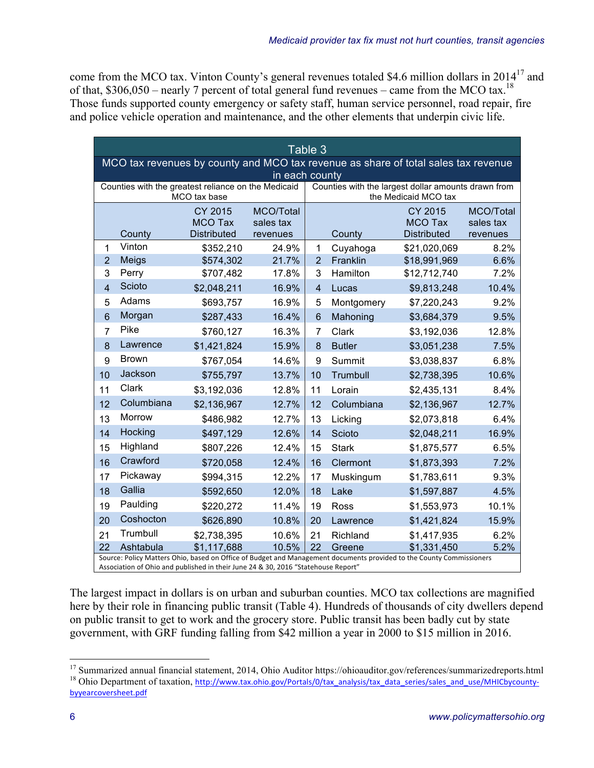come from the MCO tax. Vinton County's general revenues totaled \$4.6 million dollars in 201417 and of that,  $$306,050$  – nearly 7 percent of total general fund revenues – came from the MCO tax.<sup>18</sup> Those funds supported county emergency or safety staff, human service personnel, road repair, fire and police vehicle operation and maintenance, and the other elements that underpin civic life.

| Table 3                                                                            |                                                                                                                                                                                                           |                    |           |                |               |                    |           |  |
|------------------------------------------------------------------------------------|-----------------------------------------------------------------------------------------------------------------------------------------------------------------------------------------------------------|--------------------|-----------|----------------|---------------|--------------------|-----------|--|
| MCO tax revenues by county and MCO tax revenue as share of total sales tax revenue |                                                                                                                                                                                                           |                    |           |                |               |                    |           |  |
|                                                                                    | in each county<br>Counties with the greatest reliance on the Medicaid<br>Counties with the largest dollar amounts drawn from                                                                              |                    |           |                |               |                    |           |  |
| the Medicaid MCO tax<br>MCO tax base                                               |                                                                                                                                                                                                           |                    |           |                |               |                    |           |  |
| MCO/Total<br>CY 2015<br>CY 2015                                                    |                                                                                                                                                                                                           |                    |           |                |               |                    | MCO/Total |  |
|                                                                                    |                                                                                                                                                                                                           | <b>MCO Tax</b>     | sales tax |                |               | <b>MCO Tax</b>     | sales tax |  |
|                                                                                    | County                                                                                                                                                                                                    | <b>Distributed</b> | revenues  |                | County        | <b>Distributed</b> | revenues  |  |
| 1                                                                                  | Vinton                                                                                                                                                                                                    | \$352,210          | 24.9%     | 1              | Cuyahoga      | \$21,020,069       | 8.2%      |  |
| $\overline{2}$                                                                     | Meigs                                                                                                                                                                                                     | \$574,302          | 21.7%     | $\overline{2}$ | Franklin      | \$18,991,969       | 6.6%      |  |
| 3                                                                                  | Perry                                                                                                                                                                                                     | \$707,482          | 17.8%     | 3              | Hamilton      | \$12,712,740       | 7.2%      |  |
| $\overline{4}$                                                                     | Scioto                                                                                                                                                                                                    | \$2,048,211        | 16.9%     | $\overline{4}$ | Lucas         | \$9,813,248        | 10.4%     |  |
| 5                                                                                  | Adams                                                                                                                                                                                                     | \$693,757          | 16.9%     | 5              | Montgomery    | \$7,220,243        | 9.2%      |  |
| $6\phantom{1}$                                                                     | Morgan                                                                                                                                                                                                    | \$287,433          | 16.4%     | 6              | Mahoning      | \$3,684,379        | 9.5%      |  |
| $\overline{7}$                                                                     | Pike                                                                                                                                                                                                      | \$760,127          | 16.3%     | $\overline{7}$ | Clark         | \$3,192,036        | 12.8%     |  |
| 8                                                                                  | Lawrence                                                                                                                                                                                                  | \$1,421,824        | 15.9%     | 8              | <b>Butler</b> | \$3,051,238        | 7.5%      |  |
| 9                                                                                  | <b>Brown</b>                                                                                                                                                                                              | \$767,054          | 14.6%     | 9              | Summit        | \$3,038,837        | 6.8%      |  |
| 10                                                                                 | Jackson                                                                                                                                                                                                   | \$755,797          | 13.7%     | 10             | Trumbull      | \$2,738,395        | 10.6%     |  |
| 11                                                                                 | Clark                                                                                                                                                                                                     | \$3,192,036        | 12.8%     | 11             | Lorain        | \$2,435,131        | 8.4%      |  |
| 12                                                                                 | Columbiana                                                                                                                                                                                                | \$2,136,967        | 12.7%     | 12             | Columbiana    | \$2,136,967        | 12.7%     |  |
| 13                                                                                 | <b>Morrow</b>                                                                                                                                                                                             | \$486,982          | 12.7%     | 13             | Licking       | \$2,073,818        | 6.4%      |  |
| 14                                                                                 | Hocking                                                                                                                                                                                                   | \$497,129          | 12.6%     | 14             | Scioto        | \$2,048,211        | 16.9%     |  |
| 15                                                                                 | Highland                                                                                                                                                                                                  | \$807,226          | 12.4%     | 15             | <b>Stark</b>  | \$1,875,577        | 6.5%      |  |
| 16                                                                                 | Crawford                                                                                                                                                                                                  | \$720,058          | 12.4%     | 16             | Clermont      | \$1,873,393        | 7.2%      |  |
| 17                                                                                 | Pickaway                                                                                                                                                                                                  | \$994,315          | 12.2%     | 17             | Muskingum     | \$1,783,611        | 9.3%      |  |
| 18                                                                                 | Gallia                                                                                                                                                                                                    | \$592,650          | 12.0%     | 18             | Lake          | \$1,597,887        | 4.5%      |  |
| 19                                                                                 | Paulding                                                                                                                                                                                                  | \$220,272          | 11.4%     | 19             | Ross          | \$1,553,973        | 10.1%     |  |
| 20                                                                                 | Coshocton                                                                                                                                                                                                 | \$626,890          | 10.8%     | 20             | Lawrence      | \$1,421,824        | 15.9%     |  |
| 21                                                                                 | Trumbull                                                                                                                                                                                                  | \$2,738,395        | 10.6%     | 21             | Richland      | \$1,417,935        | 6.2%      |  |
| 22                                                                                 | Ashtabula                                                                                                                                                                                                 | \$1,117,688        | 10.5%     | 22             | Greene        | \$1,331,450        | 5.2%      |  |
|                                                                                    | Source: Policy Matters Ohio, based on Office of Budget and Management documents provided to the County Commissioners<br>Association of Ohio and published in their June 24 & 30, 2016 "Statehouse Report" |                    |           |                |               |                    |           |  |

The largest impact in dollars is on urban and suburban counties. MCO tax collections are magnified here by their role in financing public transit (Table 4). Hundreds of thousands of city dwellers depend on public transit to get to work and the grocery store. Public transit has been badly cut by state government, with GRF funding falling from \$42 million a year in 2000 to \$15 million in 2016.

<sup>&</sup>lt;sup>17</sup> Summarized annual financial statement, 2014, Ohio Auditor https://ohioauditor.gov/references/summarizedreports.html <sup>18</sup> Ohio Department of taxation, http://www.tax.ohio.gov/Portals/0/tax analysis/tax data series/sal byyearcoversheet.pdf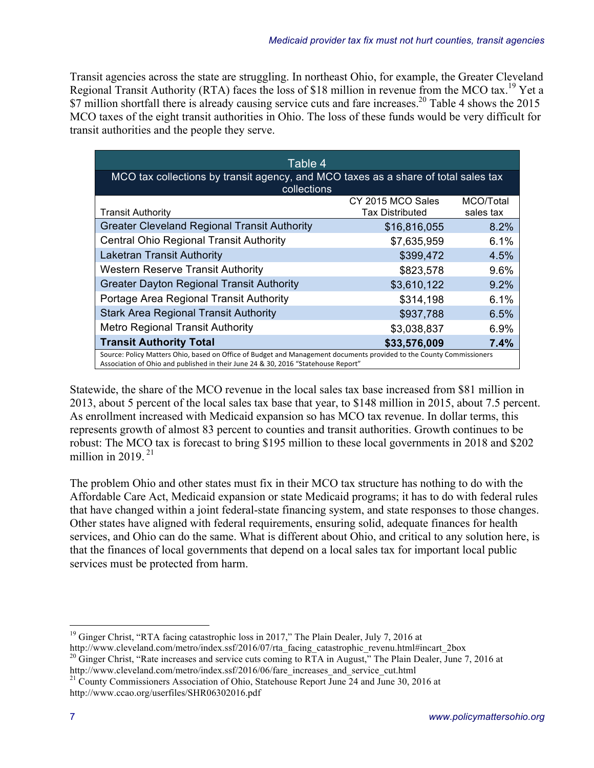Transit agencies across the state are struggling. In northeast Ohio, for example, the Greater Cleveland Regional Transit Authority (RTA) faces the loss of \$18 million in revenue from the MCO tax.<sup>19</sup> Yet a \$7 million shortfall there is already causing service cuts and fare increases.<sup>20</sup> Table 4 shows the 2015 MCO taxes of the eight transit authorities in Ohio. The loss of these funds would be very difficult for transit authorities and the people they serve.

| Table 4                                                                                                                                                                                                  |                        |           |  |  |  |  |  |
|----------------------------------------------------------------------------------------------------------------------------------------------------------------------------------------------------------|------------------------|-----------|--|--|--|--|--|
| MCO tax collections by transit agency, and MCO taxes as a share of total sales tax                                                                                                                       |                        |           |  |  |  |  |  |
| collections                                                                                                                                                                                              |                        |           |  |  |  |  |  |
|                                                                                                                                                                                                          | CY 2015 MCO Sales      | MCO/Total |  |  |  |  |  |
| <b>Transit Authority</b>                                                                                                                                                                                 | <b>Tax Distributed</b> | sales tax |  |  |  |  |  |
| <b>Greater Cleveland Regional Transit Authority</b>                                                                                                                                                      | \$16,816,055           | 8.2%      |  |  |  |  |  |
| <b>Central Ohio Regional Transit Authority</b>                                                                                                                                                           | \$7,635,959            | 6.1%      |  |  |  |  |  |
| <b>Laketran Transit Authority</b>                                                                                                                                                                        | \$399,472              | 4.5%      |  |  |  |  |  |
| <b>Western Reserve Transit Authority</b>                                                                                                                                                                 | \$823,578              | 9.6%      |  |  |  |  |  |
| <b>Greater Dayton Regional Transit Authority</b>                                                                                                                                                         | \$3,610,122            | 9.2%      |  |  |  |  |  |
| Portage Area Regional Transit Authority                                                                                                                                                                  | \$314,198              | 6.1%      |  |  |  |  |  |
| <b>Stark Area Regional Transit Authority</b>                                                                                                                                                             | \$937,788              | 6.5%      |  |  |  |  |  |
| <b>Metro Regional Transit Authority</b><br>\$3,038,837<br>6.9%                                                                                                                                           |                        |           |  |  |  |  |  |
| <b>Transit Authority Total</b><br>\$33,576,009<br>7.4%                                                                                                                                                   |                        |           |  |  |  |  |  |
| Source: Policy Matters Ohio, based on Office of Budget and Management documents provided to the County Commissioners<br>Accordition of Ohio and published in their lune 34.8.30,3016 "Ctatabouse Bonart" |                        |           |  |  |  |  |  |

Association of Ohio and published in their June 24 & 30, 2016 "Statehouse Report"

Statewide, the share of the MCO revenue in the local sales tax base increased from \$81 million in 2013, about 5 percent of the local sales tax base that year, to \$148 million in 2015, about 7.5 percent. As enrollment increased with Medicaid expansion so has MCO tax revenue. In dollar terms, this represents growth of almost 83 percent to counties and transit authorities. Growth continues to be robust: The MCO tax is forecast to bring \$195 million to these local governments in 2018 and \$202 million in 2019 $21$ 

The problem Ohio and other states must fix in their MCO tax structure has nothing to do with the Affordable Care Act, Medicaid expansion or state Medicaid programs; it has to do with federal rules that have changed within a joint federal-state financing system, and state responses to those changes. Other states have aligned with federal requirements, ensuring solid, adequate finances for health services, and Ohio can do the same. What is different about Ohio, and critical to any solution here, is that the finances of local governments that depend on a local sales tax for important local public services must be protected from harm.

 $19$  Ginger Christ, "RTA facing catastrophic loss in 2017," The Plain Dealer, July 7, 2016 at

http://www.cleveland.com/metro/index.ssf/2016/07/rta\_facing\_catastrophic\_revenu.html#incart\_2box

<sup>&</sup>lt;sup>20</sup> Ginger Christ, "Rate increases and service cuts coming to RTA in August," The Plain Dealer, June 7, 2016 at http://www.cleveland.com/metro/index.ssf/2016/06/fare\_increases\_and\_service\_cut.html

<sup>&</sup>lt;sup>21</sup> County Commissioners Association of Ohio, Statehouse Report June 24 and June 30, 2016 at http://www.ccao.org/userfiles/SHR06302016.pdf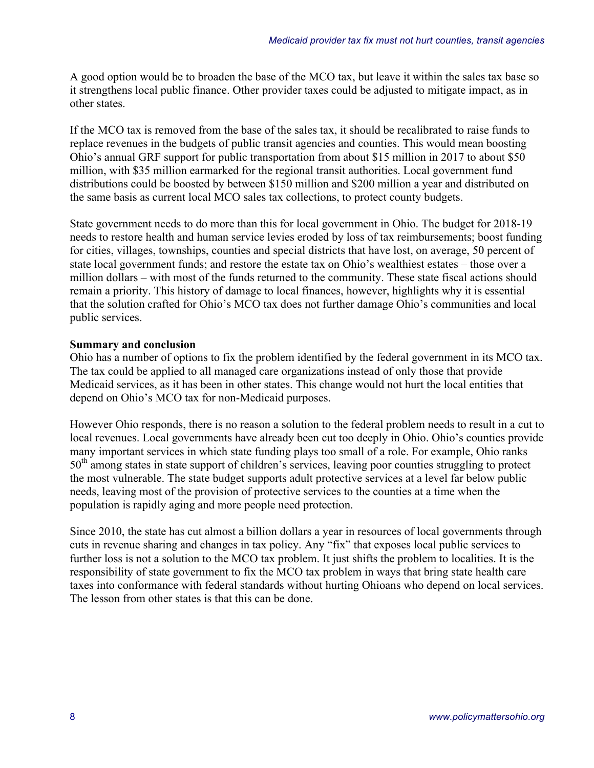A good option would be to broaden the base of the MCO tax, but leave it within the sales tax base so it strengthens local public finance. Other provider taxes could be adjusted to mitigate impact, as in other states.

If the MCO tax is removed from the base of the sales tax, it should be recalibrated to raise funds to replace revenues in the budgets of public transit agencies and counties. This would mean boosting Ohio's annual GRF support for public transportation from about \$15 million in 2017 to about \$50 million, with \$35 million earmarked for the regional transit authorities. Local government fund distributions could be boosted by between \$150 million and \$200 million a year and distributed on the same basis as current local MCO sales tax collections, to protect county budgets.

State government needs to do more than this for local government in Ohio. The budget for 2018-19 needs to restore health and human service levies eroded by loss of tax reimbursements; boost funding for cities, villages, townships, counties and special districts that have lost, on average, 50 percent of state local government funds; and restore the estate tax on Ohio's wealthiest estates – those over a million dollars – with most of the funds returned to the community. These state fiscal actions should remain a priority. This history of damage to local finances, however, highlights why it is essential that the solution crafted for Ohio's MCO tax does not further damage Ohio's communities and local public services.

#### **Summary and conclusion**

Ohio has a number of options to fix the problem identified by the federal government in its MCO tax. The tax could be applied to all managed care organizations instead of only those that provide Medicaid services, as it has been in other states. This change would not hurt the local entities that depend on Ohio's MCO tax for non-Medicaid purposes.

However Ohio responds, there is no reason a solution to the federal problem needs to result in a cut to local revenues. Local governments have already been cut too deeply in Ohio. Ohio's counties provide many important services in which state funding plays too small of a role. For example, Ohio ranks 50<sup>th</sup> among states in state support of children's services, leaving poor counties struggling to protect the most vulnerable. The state budget supports adult protective services at a level far below public needs, leaving most of the provision of protective services to the counties at a time when the population is rapidly aging and more people need protection.

Since 2010, the state has cut almost a billion dollars a year in resources of local governments through cuts in revenue sharing and changes in tax policy. Any "fix" that exposes local public services to further loss is not a solution to the MCO tax problem. It just shifts the problem to localities. It is the responsibility of state government to fix the MCO tax problem in ways that bring state health care taxes into conformance with federal standards without hurting Ohioans who depend on local services. The lesson from other states is that this can be done.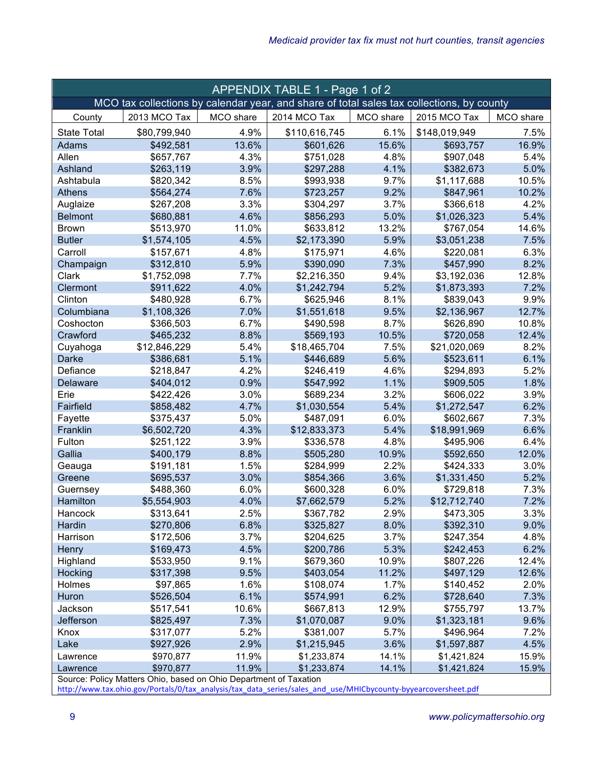| APPENDIX TABLE 1 - Page 1 of 2                                                            |                                                                                |           |               |           |               |           |  |
|-------------------------------------------------------------------------------------------|--------------------------------------------------------------------------------|-----------|---------------|-----------|---------------|-----------|--|
| MCO tax collections by calendar year, and share of total sales tax collections, by county |                                                                                |           |               |           |               |           |  |
| County                                                                                    | 2013 MCO Tax                                                                   | MCO share | 2014 MCO Tax  | MCO share | 2015 MCO Tax  | MCO share |  |
| <b>State Total</b>                                                                        | \$80,799,940                                                                   | 4.9%      | \$110,616,745 | 6.1%      | \$148,019,949 | 7.5%      |  |
| Adams                                                                                     | \$492,581                                                                      | 13.6%     | \$601,626     | 15.6%     | \$693,757     | 16.9%     |  |
| Allen                                                                                     | \$657,767                                                                      | 4.3%      | \$751,028     | 4.8%      | \$907,048     | 5.4%      |  |
| Ashland                                                                                   | \$263,119                                                                      | 3.9%      | \$297,288     | 4.1%      | \$382,673     | 5.0%      |  |
| Ashtabula                                                                                 | \$820,342                                                                      | 8.5%      | \$993,938     | 9.7%      | \$1,117,688   | 10.5%     |  |
| <b>Athens</b>                                                                             | \$564,274                                                                      | 7.6%      | \$723,257     | 9.2%      | \$847,961     | 10.2%     |  |
| Auglaize                                                                                  | \$267,208                                                                      | 3.3%      | \$304,297     | 3.7%      | \$366,618     | 4.2%      |  |
| <b>Belmont</b>                                                                            | \$680,881                                                                      | 4.6%      | \$856,293     | 5.0%      | \$1,026,323   | 5.4%      |  |
| <b>Brown</b>                                                                              | \$513,970                                                                      | 11.0%     | \$633,812     | 13.2%     | \$767,054     | 14.6%     |  |
| <b>Butler</b>                                                                             | \$1,574,105                                                                    | 4.5%      | \$2,173,390   | 5.9%      | \$3,051,238   | 7.5%      |  |
| Carroll                                                                                   | \$157,671                                                                      | 4.8%      | \$175,971     | 4.6%      | \$220,081     | 6.3%      |  |
| Champaign                                                                                 | \$312,810                                                                      | 5.9%      | \$390,090     | 7.3%      | \$457,990     | 8.2%      |  |
| Clark                                                                                     | \$1,752,098                                                                    | 7.7%      | \$2,216,350   | 9.4%      | \$3,192,036   | 12.8%     |  |
| Clermont                                                                                  | \$911,622                                                                      | 4.0%      | \$1,242,794   | 5.2%      | \$1,873,393   | 7.2%      |  |
| Clinton                                                                                   | \$480,928                                                                      | 6.7%      | \$625,946     | 8.1%      | \$839,043     | 9.9%      |  |
| Columbiana                                                                                | \$1,108,326                                                                    | 7.0%      | \$1,551,618   | 9.5%      | \$2,136,967   | 12.7%     |  |
| Coshocton                                                                                 | \$366,503                                                                      | 6.7%      | \$490,598     | 8.7%      | \$626,890     | 10.8%     |  |
| Crawford                                                                                  | \$465,232                                                                      | 8.8%      | \$569,193     | 10.5%     | \$720,058     | 12.4%     |  |
| Cuyahoga                                                                                  | \$12,846,229                                                                   | 5.4%      | \$18,465,704  | 7.5%      | \$21,020,069  | 8.2%      |  |
| Darke                                                                                     | \$386,681                                                                      | 5.1%      | \$446,689     | 5.6%      | \$523,611     | 6.1%      |  |
| Defiance                                                                                  | \$218,847                                                                      | 4.2%      | \$246,419     | 4.6%      | \$294,893     | 5.2%      |  |
| <b>Delaware</b>                                                                           | \$404,012                                                                      | 0.9%      | \$547,992     | 1.1%      | \$909,505     | 1.8%      |  |
| Erie                                                                                      | \$422,426                                                                      | 3.0%      | \$689,234     | 3.2%      | \$606,022     | 3.9%      |  |
| Fairfield                                                                                 | \$858,482                                                                      | 4.7%      | \$1,030,554   | 5.4%      | \$1,272,547   | 6.2%      |  |
| Fayette                                                                                   | \$375,437                                                                      | 5.0%      | \$487,091     | 6.0%      | \$602,667     | 7.3%      |  |
| Franklin                                                                                  | \$6,502,720                                                                    | 4.3%      | \$12,833,373  | 5.4%      | \$18,991,969  | 6.6%      |  |
| Fulton                                                                                    | \$251,122                                                                      | 3.9%      | \$336,578     | 4.8%      | \$495,906     | 6.4%      |  |
| Gallia                                                                                    | \$400,179                                                                      | 8.8%      | \$505,280     | 10.9%     | \$592,650     | 12.0%     |  |
| Geauga                                                                                    | \$191,181                                                                      | 1.5%      | \$284,999     | 2.2%      | \$424,333     | 3.0%      |  |
| Greene                                                                                    | \$695,537                                                                      | 3.0%      | \$854,366     | 3.6%      | \$1,331,450   | 5.2%      |  |
| Guernsey                                                                                  | \$488,360                                                                      | 6.0%      | \$600,328     | 6.0%      | \$729,818     | 7.3%      |  |
| Hamilton                                                                                  | \$5,554,903                                                                    | 4.0%      | \$7,662,579   | 5.2%      | \$12,712,740  | 7.2%      |  |
| Hancock                                                                                   | \$313,641                                                                      | 2.5%      | \$367,782     | 2.9%      | \$473,305     | 3.3%      |  |
| Hardin                                                                                    | \$270,806                                                                      | 6.8%      | \$325,827     | 8.0%      | \$392,310     | 9.0%      |  |
| Harrison                                                                                  | \$172,506                                                                      | 3.7%      | \$204,625     | 3.7%      | \$247,354     | 4.8%      |  |
| <b>Henry</b>                                                                              | \$169,473                                                                      | 4.5%      | \$200,786     | 5.3%      | \$242,453     | 6.2%      |  |
| Highland                                                                                  | \$533,950                                                                      | 9.1%      | \$679,360     | 10.9%     | \$807,226     | 12.4%     |  |
| Hocking                                                                                   | \$317,398                                                                      | 9.5%      | \$403,054     | 11.2%     | \$497,129     | 12.6%     |  |
| Holmes                                                                                    | \$97,865                                                                       | 1.6%      | \$108,074     | 1.7%      | \$140,452     | 2.0%      |  |
| Huron                                                                                     | \$526,504                                                                      | 6.1%      | \$574,991     | 6.2%      | \$728,640     | 7.3%      |  |
| Jackson                                                                                   | \$517,541                                                                      | 10.6%     | \$667,813     | 12.9%     | \$755,797     | 13.7%     |  |
| Jefferson                                                                                 | \$825,497                                                                      | 7.3%      | \$1,070,087   | 9.0%      | \$1,323,181   | 9.6%      |  |
| Knox                                                                                      | \$317,077                                                                      | 5.2%      | \$381,007     | 5.7%      | \$496,964     | 7.2%      |  |
| Lake                                                                                      | \$927,926                                                                      | 2.9%      | \$1,215,945   | 3.6%      | \$1,597,887   | 4.5%      |  |
| Lawrence                                                                                  | \$970,877                                                                      | 11.9%     | \$1,233,874   | 14.1%     | \$1,421,824   | 15.9%     |  |
| Lawrence                                                                                  | \$970,877<br>Source: Policy Matters Ohio, based on Ohio Department of Taxation | 11.9%     | \$1,233,874   | 14.1%     | \$1,421,824   | 15.9%     |  |

http://www.tax.ohio.gov/Portals/0/tax\_analysis/tax\_data\_series/sales\_and\_use/MHICbycounty-byyearcoversheet.pdf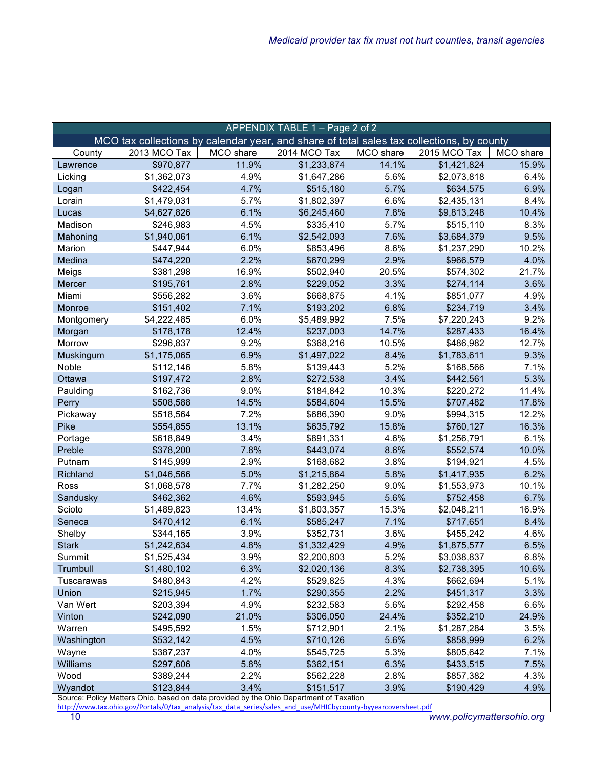| 2013 MCO Tax<br>MCO share<br>MCO share<br>2015 MCO Tax<br>MCO share<br>2014 MCO Tax<br>County<br>\$970,877<br>14.1%<br>\$1,421,824<br>15.9%<br>11.9%<br>\$1,233,874<br>Lawrence<br>\$1,362,073<br>4.9%<br>\$1,647,286<br>5.6%<br>\$2,073,818<br>6.4%<br>Licking<br>\$422,454<br>4.7%<br>5.7%<br>6.9%<br>\$515,180<br>\$634,575<br>Logan<br>\$1,479,031<br>5.7%<br>\$1,802,397<br>6.6%<br>\$2,435,131<br>8.4%<br>Lorain<br>6.1%<br>7.8%<br>10.4%<br>\$4,627,826<br>\$6,245,460<br>\$9,813,248<br>Lucas<br>\$246,983<br>4.5%<br>\$335,410<br>5.7%<br>\$515,110<br>8.3%<br>Madison<br>6.1%<br>7.6%<br>9.5%<br>\$1,940,061<br>\$2,542,093<br>\$3,684,379<br>Mahoning<br>\$447,944<br>6.0%<br>8.6%<br>\$1,237,290<br>10.2%<br>Marion<br>\$853,496<br>2.2%<br>4.0%<br>Medina<br>\$474,220<br>\$670,299<br>2.9%<br>\$966,579<br>20.5%<br>\$381,298<br>16.9%<br>\$502,940<br>\$574,302<br>21.7%<br>Meigs<br>2.8%<br>\$195,761<br>\$229,052<br>3.3%<br>\$274,114<br>3.6%<br>Mercer<br>4.9%<br>3.6%<br>4.1%<br>Miami<br>\$556,282<br>\$668,875<br>\$851,077<br>7.1%<br>3.4%<br>\$151,402<br>\$193,202<br>6.8%<br>Monroe<br>\$234,719<br>6.0%<br>7.5%<br>9.2%<br>Montgomery<br>\$4,222,485<br>\$5,489,992<br>\$7,220,243<br>12.4%<br>\$178,178<br>\$237,003<br>14.7%<br>\$287,433<br>16.4%<br>Morgan<br>9.2%<br>12.7%<br>Morrow<br>\$296,837<br>\$368,216<br>10.5%<br>\$486,982<br>6.9%<br>9.3%<br>\$1,175,065<br>\$1,497,022<br>8.4%<br>\$1,783,611<br>Muskingum<br>Noble<br>\$112,146<br>5.8%<br>5.2%<br>7.1%<br>\$139,443<br>\$168,566<br>2.8%<br>5.3%<br>Ottawa<br>\$197,472<br>\$272,538<br>3.4%<br>\$442,561<br>9.0%<br>10.3%<br>\$220,272<br>11.4%<br>Paulding<br>\$162,736<br>\$184,842<br>14.5%<br>15.5%<br>17.8%<br>Perry<br>\$508,588<br>\$584,604<br>\$707,482<br>9.0%<br>12.2%<br>Pickaway<br>\$518,564<br>7.2%<br>\$686,390<br>\$994,315<br>13.1%<br>16.3%<br>Pike<br>\$554,855<br>\$635,792<br>15.8%<br>\$760,127<br>3.4%<br>6.1%<br>\$618,849<br>\$891,331<br>4.6%<br>\$1,256,791<br>Portage<br>\$378,200<br>7.8%<br>8.6%<br>10.0%<br>Preble<br>\$443,074<br>\$552,574<br>2.9%<br>3.8%<br>\$168,682<br>\$194,921<br>4.5%<br>Putnam<br>\$145,999<br>\$1,046,566<br>5.0%<br>\$1,215,864<br>5.8%<br>\$1,417,935<br>6.2%<br>Richland<br>\$1,068,578<br>7.7%<br>\$1,282,250<br>9.0%<br>\$1,553,973<br>10.1%<br>Ross<br>4.6%<br>5.6%<br>6.7%<br>Sandusky<br>\$462,362<br>\$593,945<br>\$752,458<br>Scioto<br>\$1,489,823<br>13.4%<br>\$1,803,357<br>15.3%<br>\$2,048,211<br>16.9%<br>6.1%<br>7.1%<br>8.4%<br>\$470,412<br>\$585,247<br>\$717,651<br>Seneca<br>\$344,165<br>3.9%<br>3.6%<br>4.6%<br>Shelby<br>\$352,731<br>\$455,242<br>\$1,242,634<br>4.8%<br>\$1,332,429<br>4.9%<br>6.5%<br><b>Stark</b><br>\$1,875,577<br>6.8%<br>3.9%<br>5.2%<br>\$1,525,434<br>\$2,200,803<br>\$3,038,837<br>Summit<br>6.3%<br>8.3%<br>10.6%<br>Trumbull<br>\$1,480,102<br>\$2,020,136<br>\$2,738,395<br>4.2%<br>4.3%<br>\$480,843<br>\$662,694<br>5.1%<br>Tuscarawas<br>\$529,825<br>Union<br>\$215,945<br>1.7%<br>2.2%<br>3.3%<br>\$290,355<br>\$451,317<br>Van Wert<br>\$203,394<br>4.9%<br>\$232,583<br>5.6%<br>6.6%<br>\$292,458<br>Vinton<br>\$242,090<br>21.0%<br>\$306,050<br>24.4%<br>\$352,210<br>24.9%<br>Warren<br>1.5%<br>2.1%<br>3.5%<br>\$495,592<br>\$712,901<br>\$1,287,284<br>4.5%<br>5.6%<br>6.2%<br>Washington<br>\$532,142<br>\$710,126<br>\$858,999<br>Wayne<br>4.0%<br>5.3%<br>\$805,642<br>7.1%<br>\$387,237<br>\$545,725<br><b>Williams</b><br>\$297,606<br>5.8%<br>6.3%<br>7.5%<br>\$362,151<br>\$433,515<br>Wood<br>\$389,244<br>2.2%<br>2.8%<br>4.3%<br>\$562,228<br>\$857,382 | APPENDIX TABLE 1 - Page 2 of 2                                                            |           |      |           |      |           |      |  |
|-----------------------------------------------------------------------------------------------------------------------------------------------------------------------------------------------------------------------------------------------------------------------------------------------------------------------------------------------------------------------------------------------------------------------------------------------------------------------------------------------------------------------------------------------------------------------------------------------------------------------------------------------------------------------------------------------------------------------------------------------------------------------------------------------------------------------------------------------------------------------------------------------------------------------------------------------------------------------------------------------------------------------------------------------------------------------------------------------------------------------------------------------------------------------------------------------------------------------------------------------------------------------------------------------------------------------------------------------------------------------------------------------------------------------------------------------------------------------------------------------------------------------------------------------------------------------------------------------------------------------------------------------------------------------------------------------------------------------------------------------------------------------------------------------------------------------------------------------------------------------------------------------------------------------------------------------------------------------------------------------------------------------------------------------------------------------------------------------------------------------------------------------------------------------------------------------------------------------------------------------------------------------------------------------------------------------------------------------------------------------------------------------------------------------------------------------------------------------------------------------------------------------------------------------------------------------------------------------------------------------------------------------------------------------------------------------------------------------------------------------------------------------------------------------------------------------------------------------------------------------------------------------------------------------------------------------------------------------------------------------------------------------------------------------------------------------------------------------------------------------------------------------------------------------------------------------------------------------------------------------------------------------------------------------------------------------------------------------------------------------------------------------------------------------------------------------------------------------------------------------------------------------------------------------------------------------------------------------|-------------------------------------------------------------------------------------------|-----------|------|-----------|------|-----------|------|--|
|                                                                                                                                                                                                                                                                                                                                                                                                                                                                                                                                                                                                                                                                                                                                                                                                                                                                                                                                                                                                                                                                                                                                                                                                                                                                                                                                                                                                                                                                                                                                                                                                                                                                                                                                                                                                                                                                                                                                                                                                                                                                                                                                                                                                                                                                                                                                                                                                                                                                                                                                                                                                                                                                                                                                                                                                                                                                                                                                                                                                                                                                                                                                                                                                                                                                                                                                                                                                                                                                                                                                                                                               | MCO tax collections by calendar year, and share of total sales tax collections, by county |           |      |           |      |           |      |  |
|                                                                                                                                                                                                                                                                                                                                                                                                                                                                                                                                                                                                                                                                                                                                                                                                                                                                                                                                                                                                                                                                                                                                                                                                                                                                                                                                                                                                                                                                                                                                                                                                                                                                                                                                                                                                                                                                                                                                                                                                                                                                                                                                                                                                                                                                                                                                                                                                                                                                                                                                                                                                                                                                                                                                                                                                                                                                                                                                                                                                                                                                                                                                                                                                                                                                                                                                                                                                                                                                                                                                                                                               |                                                                                           |           |      |           |      |           |      |  |
|                                                                                                                                                                                                                                                                                                                                                                                                                                                                                                                                                                                                                                                                                                                                                                                                                                                                                                                                                                                                                                                                                                                                                                                                                                                                                                                                                                                                                                                                                                                                                                                                                                                                                                                                                                                                                                                                                                                                                                                                                                                                                                                                                                                                                                                                                                                                                                                                                                                                                                                                                                                                                                                                                                                                                                                                                                                                                                                                                                                                                                                                                                                                                                                                                                                                                                                                                                                                                                                                                                                                                                                               |                                                                                           |           |      |           |      |           |      |  |
|                                                                                                                                                                                                                                                                                                                                                                                                                                                                                                                                                                                                                                                                                                                                                                                                                                                                                                                                                                                                                                                                                                                                                                                                                                                                                                                                                                                                                                                                                                                                                                                                                                                                                                                                                                                                                                                                                                                                                                                                                                                                                                                                                                                                                                                                                                                                                                                                                                                                                                                                                                                                                                                                                                                                                                                                                                                                                                                                                                                                                                                                                                                                                                                                                                                                                                                                                                                                                                                                                                                                                                                               |                                                                                           |           |      |           |      |           |      |  |
|                                                                                                                                                                                                                                                                                                                                                                                                                                                                                                                                                                                                                                                                                                                                                                                                                                                                                                                                                                                                                                                                                                                                                                                                                                                                                                                                                                                                                                                                                                                                                                                                                                                                                                                                                                                                                                                                                                                                                                                                                                                                                                                                                                                                                                                                                                                                                                                                                                                                                                                                                                                                                                                                                                                                                                                                                                                                                                                                                                                                                                                                                                                                                                                                                                                                                                                                                                                                                                                                                                                                                                                               |                                                                                           |           |      |           |      |           |      |  |
|                                                                                                                                                                                                                                                                                                                                                                                                                                                                                                                                                                                                                                                                                                                                                                                                                                                                                                                                                                                                                                                                                                                                                                                                                                                                                                                                                                                                                                                                                                                                                                                                                                                                                                                                                                                                                                                                                                                                                                                                                                                                                                                                                                                                                                                                                                                                                                                                                                                                                                                                                                                                                                                                                                                                                                                                                                                                                                                                                                                                                                                                                                                                                                                                                                                                                                                                                                                                                                                                                                                                                                                               |                                                                                           |           |      |           |      |           |      |  |
|                                                                                                                                                                                                                                                                                                                                                                                                                                                                                                                                                                                                                                                                                                                                                                                                                                                                                                                                                                                                                                                                                                                                                                                                                                                                                                                                                                                                                                                                                                                                                                                                                                                                                                                                                                                                                                                                                                                                                                                                                                                                                                                                                                                                                                                                                                                                                                                                                                                                                                                                                                                                                                                                                                                                                                                                                                                                                                                                                                                                                                                                                                                                                                                                                                                                                                                                                                                                                                                                                                                                                                                               |                                                                                           |           |      |           |      |           |      |  |
|                                                                                                                                                                                                                                                                                                                                                                                                                                                                                                                                                                                                                                                                                                                                                                                                                                                                                                                                                                                                                                                                                                                                                                                                                                                                                                                                                                                                                                                                                                                                                                                                                                                                                                                                                                                                                                                                                                                                                                                                                                                                                                                                                                                                                                                                                                                                                                                                                                                                                                                                                                                                                                                                                                                                                                                                                                                                                                                                                                                                                                                                                                                                                                                                                                                                                                                                                                                                                                                                                                                                                                                               |                                                                                           |           |      |           |      |           |      |  |
|                                                                                                                                                                                                                                                                                                                                                                                                                                                                                                                                                                                                                                                                                                                                                                                                                                                                                                                                                                                                                                                                                                                                                                                                                                                                                                                                                                                                                                                                                                                                                                                                                                                                                                                                                                                                                                                                                                                                                                                                                                                                                                                                                                                                                                                                                                                                                                                                                                                                                                                                                                                                                                                                                                                                                                                                                                                                                                                                                                                                                                                                                                                                                                                                                                                                                                                                                                                                                                                                                                                                                                                               |                                                                                           |           |      |           |      |           |      |  |
|                                                                                                                                                                                                                                                                                                                                                                                                                                                                                                                                                                                                                                                                                                                                                                                                                                                                                                                                                                                                                                                                                                                                                                                                                                                                                                                                                                                                                                                                                                                                                                                                                                                                                                                                                                                                                                                                                                                                                                                                                                                                                                                                                                                                                                                                                                                                                                                                                                                                                                                                                                                                                                                                                                                                                                                                                                                                                                                                                                                                                                                                                                                                                                                                                                                                                                                                                                                                                                                                                                                                                                                               |                                                                                           |           |      |           |      |           |      |  |
|                                                                                                                                                                                                                                                                                                                                                                                                                                                                                                                                                                                                                                                                                                                                                                                                                                                                                                                                                                                                                                                                                                                                                                                                                                                                                                                                                                                                                                                                                                                                                                                                                                                                                                                                                                                                                                                                                                                                                                                                                                                                                                                                                                                                                                                                                                                                                                                                                                                                                                                                                                                                                                                                                                                                                                                                                                                                                                                                                                                                                                                                                                                                                                                                                                                                                                                                                                                                                                                                                                                                                                                               |                                                                                           |           |      |           |      |           |      |  |
|                                                                                                                                                                                                                                                                                                                                                                                                                                                                                                                                                                                                                                                                                                                                                                                                                                                                                                                                                                                                                                                                                                                                                                                                                                                                                                                                                                                                                                                                                                                                                                                                                                                                                                                                                                                                                                                                                                                                                                                                                                                                                                                                                                                                                                                                                                                                                                                                                                                                                                                                                                                                                                                                                                                                                                                                                                                                                                                                                                                                                                                                                                                                                                                                                                                                                                                                                                                                                                                                                                                                                                                               |                                                                                           |           |      |           |      |           |      |  |
|                                                                                                                                                                                                                                                                                                                                                                                                                                                                                                                                                                                                                                                                                                                                                                                                                                                                                                                                                                                                                                                                                                                                                                                                                                                                                                                                                                                                                                                                                                                                                                                                                                                                                                                                                                                                                                                                                                                                                                                                                                                                                                                                                                                                                                                                                                                                                                                                                                                                                                                                                                                                                                                                                                                                                                                                                                                                                                                                                                                                                                                                                                                                                                                                                                                                                                                                                                                                                                                                                                                                                                                               |                                                                                           |           |      |           |      |           |      |  |
|                                                                                                                                                                                                                                                                                                                                                                                                                                                                                                                                                                                                                                                                                                                                                                                                                                                                                                                                                                                                                                                                                                                                                                                                                                                                                                                                                                                                                                                                                                                                                                                                                                                                                                                                                                                                                                                                                                                                                                                                                                                                                                                                                                                                                                                                                                                                                                                                                                                                                                                                                                                                                                                                                                                                                                                                                                                                                                                                                                                                                                                                                                                                                                                                                                                                                                                                                                                                                                                                                                                                                                                               |                                                                                           |           |      |           |      |           |      |  |
|                                                                                                                                                                                                                                                                                                                                                                                                                                                                                                                                                                                                                                                                                                                                                                                                                                                                                                                                                                                                                                                                                                                                                                                                                                                                                                                                                                                                                                                                                                                                                                                                                                                                                                                                                                                                                                                                                                                                                                                                                                                                                                                                                                                                                                                                                                                                                                                                                                                                                                                                                                                                                                                                                                                                                                                                                                                                                                                                                                                                                                                                                                                                                                                                                                                                                                                                                                                                                                                                                                                                                                                               |                                                                                           |           |      |           |      |           |      |  |
|                                                                                                                                                                                                                                                                                                                                                                                                                                                                                                                                                                                                                                                                                                                                                                                                                                                                                                                                                                                                                                                                                                                                                                                                                                                                                                                                                                                                                                                                                                                                                                                                                                                                                                                                                                                                                                                                                                                                                                                                                                                                                                                                                                                                                                                                                                                                                                                                                                                                                                                                                                                                                                                                                                                                                                                                                                                                                                                                                                                                                                                                                                                                                                                                                                                                                                                                                                                                                                                                                                                                                                                               |                                                                                           |           |      |           |      |           |      |  |
|                                                                                                                                                                                                                                                                                                                                                                                                                                                                                                                                                                                                                                                                                                                                                                                                                                                                                                                                                                                                                                                                                                                                                                                                                                                                                                                                                                                                                                                                                                                                                                                                                                                                                                                                                                                                                                                                                                                                                                                                                                                                                                                                                                                                                                                                                                                                                                                                                                                                                                                                                                                                                                                                                                                                                                                                                                                                                                                                                                                                                                                                                                                                                                                                                                                                                                                                                                                                                                                                                                                                                                                               |                                                                                           |           |      |           |      |           |      |  |
|                                                                                                                                                                                                                                                                                                                                                                                                                                                                                                                                                                                                                                                                                                                                                                                                                                                                                                                                                                                                                                                                                                                                                                                                                                                                                                                                                                                                                                                                                                                                                                                                                                                                                                                                                                                                                                                                                                                                                                                                                                                                                                                                                                                                                                                                                                                                                                                                                                                                                                                                                                                                                                                                                                                                                                                                                                                                                                                                                                                                                                                                                                                                                                                                                                                                                                                                                                                                                                                                                                                                                                                               |                                                                                           |           |      |           |      |           |      |  |
|                                                                                                                                                                                                                                                                                                                                                                                                                                                                                                                                                                                                                                                                                                                                                                                                                                                                                                                                                                                                                                                                                                                                                                                                                                                                                                                                                                                                                                                                                                                                                                                                                                                                                                                                                                                                                                                                                                                                                                                                                                                                                                                                                                                                                                                                                                                                                                                                                                                                                                                                                                                                                                                                                                                                                                                                                                                                                                                                                                                                                                                                                                                                                                                                                                                                                                                                                                                                                                                                                                                                                                                               |                                                                                           |           |      |           |      |           |      |  |
|                                                                                                                                                                                                                                                                                                                                                                                                                                                                                                                                                                                                                                                                                                                                                                                                                                                                                                                                                                                                                                                                                                                                                                                                                                                                                                                                                                                                                                                                                                                                                                                                                                                                                                                                                                                                                                                                                                                                                                                                                                                                                                                                                                                                                                                                                                                                                                                                                                                                                                                                                                                                                                                                                                                                                                                                                                                                                                                                                                                                                                                                                                                                                                                                                                                                                                                                                                                                                                                                                                                                                                                               |                                                                                           |           |      |           |      |           |      |  |
|                                                                                                                                                                                                                                                                                                                                                                                                                                                                                                                                                                                                                                                                                                                                                                                                                                                                                                                                                                                                                                                                                                                                                                                                                                                                                                                                                                                                                                                                                                                                                                                                                                                                                                                                                                                                                                                                                                                                                                                                                                                                                                                                                                                                                                                                                                                                                                                                                                                                                                                                                                                                                                                                                                                                                                                                                                                                                                                                                                                                                                                                                                                                                                                                                                                                                                                                                                                                                                                                                                                                                                                               |                                                                                           |           |      |           |      |           |      |  |
|                                                                                                                                                                                                                                                                                                                                                                                                                                                                                                                                                                                                                                                                                                                                                                                                                                                                                                                                                                                                                                                                                                                                                                                                                                                                                                                                                                                                                                                                                                                                                                                                                                                                                                                                                                                                                                                                                                                                                                                                                                                                                                                                                                                                                                                                                                                                                                                                                                                                                                                                                                                                                                                                                                                                                                                                                                                                                                                                                                                                                                                                                                                                                                                                                                                                                                                                                                                                                                                                                                                                                                                               |                                                                                           |           |      |           |      |           |      |  |
|                                                                                                                                                                                                                                                                                                                                                                                                                                                                                                                                                                                                                                                                                                                                                                                                                                                                                                                                                                                                                                                                                                                                                                                                                                                                                                                                                                                                                                                                                                                                                                                                                                                                                                                                                                                                                                                                                                                                                                                                                                                                                                                                                                                                                                                                                                                                                                                                                                                                                                                                                                                                                                                                                                                                                                                                                                                                                                                                                                                                                                                                                                                                                                                                                                                                                                                                                                                                                                                                                                                                                                                               |                                                                                           |           |      |           |      |           |      |  |
|                                                                                                                                                                                                                                                                                                                                                                                                                                                                                                                                                                                                                                                                                                                                                                                                                                                                                                                                                                                                                                                                                                                                                                                                                                                                                                                                                                                                                                                                                                                                                                                                                                                                                                                                                                                                                                                                                                                                                                                                                                                                                                                                                                                                                                                                                                                                                                                                                                                                                                                                                                                                                                                                                                                                                                                                                                                                                                                                                                                                                                                                                                                                                                                                                                                                                                                                                                                                                                                                                                                                                                                               |                                                                                           |           |      |           |      |           |      |  |
|                                                                                                                                                                                                                                                                                                                                                                                                                                                                                                                                                                                                                                                                                                                                                                                                                                                                                                                                                                                                                                                                                                                                                                                                                                                                                                                                                                                                                                                                                                                                                                                                                                                                                                                                                                                                                                                                                                                                                                                                                                                                                                                                                                                                                                                                                                                                                                                                                                                                                                                                                                                                                                                                                                                                                                                                                                                                                                                                                                                                                                                                                                                                                                                                                                                                                                                                                                                                                                                                                                                                                                                               |                                                                                           |           |      |           |      |           |      |  |
|                                                                                                                                                                                                                                                                                                                                                                                                                                                                                                                                                                                                                                                                                                                                                                                                                                                                                                                                                                                                                                                                                                                                                                                                                                                                                                                                                                                                                                                                                                                                                                                                                                                                                                                                                                                                                                                                                                                                                                                                                                                                                                                                                                                                                                                                                                                                                                                                                                                                                                                                                                                                                                                                                                                                                                                                                                                                                                                                                                                                                                                                                                                                                                                                                                                                                                                                                                                                                                                                                                                                                                                               |                                                                                           |           |      |           |      |           |      |  |
|                                                                                                                                                                                                                                                                                                                                                                                                                                                                                                                                                                                                                                                                                                                                                                                                                                                                                                                                                                                                                                                                                                                                                                                                                                                                                                                                                                                                                                                                                                                                                                                                                                                                                                                                                                                                                                                                                                                                                                                                                                                                                                                                                                                                                                                                                                                                                                                                                                                                                                                                                                                                                                                                                                                                                                                                                                                                                                                                                                                                                                                                                                                                                                                                                                                                                                                                                                                                                                                                                                                                                                                               |                                                                                           |           |      |           |      |           |      |  |
|                                                                                                                                                                                                                                                                                                                                                                                                                                                                                                                                                                                                                                                                                                                                                                                                                                                                                                                                                                                                                                                                                                                                                                                                                                                                                                                                                                                                                                                                                                                                                                                                                                                                                                                                                                                                                                                                                                                                                                                                                                                                                                                                                                                                                                                                                                                                                                                                                                                                                                                                                                                                                                                                                                                                                                                                                                                                                                                                                                                                                                                                                                                                                                                                                                                                                                                                                                                                                                                                                                                                                                                               |                                                                                           |           |      |           |      |           |      |  |
|                                                                                                                                                                                                                                                                                                                                                                                                                                                                                                                                                                                                                                                                                                                                                                                                                                                                                                                                                                                                                                                                                                                                                                                                                                                                                                                                                                                                                                                                                                                                                                                                                                                                                                                                                                                                                                                                                                                                                                                                                                                                                                                                                                                                                                                                                                                                                                                                                                                                                                                                                                                                                                                                                                                                                                                                                                                                                                                                                                                                                                                                                                                                                                                                                                                                                                                                                                                                                                                                                                                                                                                               |                                                                                           |           |      |           |      |           |      |  |
|                                                                                                                                                                                                                                                                                                                                                                                                                                                                                                                                                                                                                                                                                                                                                                                                                                                                                                                                                                                                                                                                                                                                                                                                                                                                                                                                                                                                                                                                                                                                                                                                                                                                                                                                                                                                                                                                                                                                                                                                                                                                                                                                                                                                                                                                                                                                                                                                                                                                                                                                                                                                                                                                                                                                                                                                                                                                                                                                                                                                                                                                                                                                                                                                                                                                                                                                                                                                                                                                                                                                                                                               |                                                                                           |           |      |           |      |           |      |  |
|                                                                                                                                                                                                                                                                                                                                                                                                                                                                                                                                                                                                                                                                                                                                                                                                                                                                                                                                                                                                                                                                                                                                                                                                                                                                                                                                                                                                                                                                                                                                                                                                                                                                                                                                                                                                                                                                                                                                                                                                                                                                                                                                                                                                                                                                                                                                                                                                                                                                                                                                                                                                                                                                                                                                                                                                                                                                                                                                                                                                                                                                                                                                                                                                                                                                                                                                                                                                                                                                                                                                                                                               |                                                                                           |           |      |           |      |           |      |  |
|                                                                                                                                                                                                                                                                                                                                                                                                                                                                                                                                                                                                                                                                                                                                                                                                                                                                                                                                                                                                                                                                                                                                                                                                                                                                                                                                                                                                                                                                                                                                                                                                                                                                                                                                                                                                                                                                                                                                                                                                                                                                                                                                                                                                                                                                                                                                                                                                                                                                                                                                                                                                                                                                                                                                                                                                                                                                                                                                                                                                                                                                                                                                                                                                                                                                                                                                                                                                                                                                                                                                                                                               |                                                                                           |           |      |           |      |           |      |  |
|                                                                                                                                                                                                                                                                                                                                                                                                                                                                                                                                                                                                                                                                                                                                                                                                                                                                                                                                                                                                                                                                                                                                                                                                                                                                                                                                                                                                                                                                                                                                                                                                                                                                                                                                                                                                                                                                                                                                                                                                                                                                                                                                                                                                                                                                                                                                                                                                                                                                                                                                                                                                                                                                                                                                                                                                                                                                                                                                                                                                                                                                                                                                                                                                                                                                                                                                                                                                                                                                                                                                                                                               |                                                                                           |           |      |           |      |           |      |  |
|                                                                                                                                                                                                                                                                                                                                                                                                                                                                                                                                                                                                                                                                                                                                                                                                                                                                                                                                                                                                                                                                                                                                                                                                                                                                                                                                                                                                                                                                                                                                                                                                                                                                                                                                                                                                                                                                                                                                                                                                                                                                                                                                                                                                                                                                                                                                                                                                                                                                                                                                                                                                                                                                                                                                                                                                                                                                                                                                                                                                                                                                                                                                                                                                                                                                                                                                                                                                                                                                                                                                                                                               |                                                                                           |           |      |           |      |           |      |  |
|                                                                                                                                                                                                                                                                                                                                                                                                                                                                                                                                                                                                                                                                                                                                                                                                                                                                                                                                                                                                                                                                                                                                                                                                                                                                                                                                                                                                                                                                                                                                                                                                                                                                                                                                                                                                                                                                                                                                                                                                                                                                                                                                                                                                                                                                                                                                                                                                                                                                                                                                                                                                                                                                                                                                                                                                                                                                                                                                                                                                                                                                                                                                                                                                                                                                                                                                                                                                                                                                                                                                                                                               |                                                                                           |           |      |           |      |           |      |  |
|                                                                                                                                                                                                                                                                                                                                                                                                                                                                                                                                                                                                                                                                                                                                                                                                                                                                                                                                                                                                                                                                                                                                                                                                                                                                                                                                                                                                                                                                                                                                                                                                                                                                                                                                                                                                                                                                                                                                                                                                                                                                                                                                                                                                                                                                                                                                                                                                                                                                                                                                                                                                                                                                                                                                                                                                                                                                                                                                                                                                                                                                                                                                                                                                                                                                                                                                                                                                                                                                                                                                                                                               |                                                                                           |           |      |           |      |           |      |  |
|                                                                                                                                                                                                                                                                                                                                                                                                                                                                                                                                                                                                                                                                                                                                                                                                                                                                                                                                                                                                                                                                                                                                                                                                                                                                                                                                                                                                                                                                                                                                                                                                                                                                                                                                                                                                                                                                                                                                                                                                                                                                                                                                                                                                                                                                                                                                                                                                                                                                                                                                                                                                                                                                                                                                                                                                                                                                                                                                                                                                                                                                                                                                                                                                                                                                                                                                                                                                                                                                                                                                                                                               |                                                                                           |           |      |           |      |           |      |  |
|                                                                                                                                                                                                                                                                                                                                                                                                                                                                                                                                                                                                                                                                                                                                                                                                                                                                                                                                                                                                                                                                                                                                                                                                                                                                                                                                                                                                                                                                                                                                                                                                                                                                                                                                                                                                                                                                                                                                                                                                                                                                                                                                                                                                                                                                                                                                                                                                                                                                                                                                                                                                                                                                                                                                                                                                                                                                                                                                                                                                                                                                                                                                                                                                                                                                                                                                                                                                                                                                                                                                                                                               |                                                                                           |           |      |           |      |           |      |  |
|                                                                                                                                                                                                                                                                                                                                                                                                                                                                                                                                                                                                                                                                                                                                                                                                                                                                                                                                                                                                                                                                                                                                                                                                                                                                                                                                                                                                                                                                                                                                                                                                                                                                                                                                                                                                                                                                                                                                                                                                                                                                                                                                                                                                                                                                                                                                                                                                                                                                                                                                                                                                                                                                                                                                                                                                                                                                                                                                                                                                                                                                                                                                                                                                                                                                                                                                                                                                                                                                                                                                                                                               |                                                                                           |           |      |           |      |           |      |  |
|                                                                                                                                                                                                                                                                                                                                                                                                                                                                                                                                                                                                                                                                                                                                                                                                                                                                                                                                                                                                                                                                                                                                                                                                                                                                                                                                                                                                                                                                                                                                                                                                                                                                                                                                                                                                                                                                                                                                                                                                                                                                                                                                                                                                                                                                                                                                                                                                                                                                                                                                                                                                                                                                                                                                                                                                                                                                                                                                                                                                                                                                                                                                                                                                                                                                                                                                                                                                                                                                                                                                                                                               |                                                                                           |           |      |           |      |           |      |  |
|                                                                                                                                                                                                                                                                                                                                                                                                                                                                                                                                                                                                                                                                                                                                                                                                                                                                                                                                                                                                                                                                                                                                                                                                                                                                                                                                                                                                                                                                                                                                                                                                                                                                                                                                                                                                                                                                                                                                                                                                                                                                                                                                                                                                                                                                                                                                                                                                                                                                                                                                                                                                                                                                                                                                                                                                                                                                                                                                                                                                                                                                                                                                                                                                                                                                                                                                                                                                                                                                                                                                                                                               |                                                                                           |           |      |           |      |           |      |  |
|                                                                                                                                                                                                                                                                                                                                                                                                                                                                                                                                                                                                                                                                                                                                                                                                                                                                                                                                                                                                                                                                                                                                                                                                                                                                                                                                                                                                                                                                                                                                                                                                                                                                                                                                                                                                                                                                                                                                                                                                                                                                                                                                                                                                                                                                                                                                                                                                                                                                                                                                                                                                                                                                                                                                                                                                                                                                                                                                                                                                                                                                                                                                                                                                                                                                                                                                                                                                                                                                                                                                                                                               |                                                                                           |           |      |           |      |           |      |  |
|                                                                                                                                                                                                                                                                                                                                                                                                                                                                                                                                                                                                                                                                                                                                                                                                                                                                                                                                                                                                                                                                                                                                                                                                                                                                                                                                                                                                                                                                                                                                                                                                                                                                                                                                                                                                                                                                                                                                                                                                                                                                                                                                                                                                                                                                                                                                                                                                                                                                                                                                                                                                                                                                                                                                                                                                                                                                                                                                                                                                                                                                                                                                                                                                                                                                                                                                                                                                                                                                                                                                                                                               |                                                                                           |           |      |           |      |           |      |  |
|                                                                                                                                                                                                                                                                                                                                                                                                                                                                                                                                                                                                                                                                                                                                                                                                                                                                                                                                                                                                                                                                                                                                                                                                                                                                                                                                                                                                                                                                                                                                                                                                                                                                                                                                                                                                                                                                                                                                                                                                                                                                                                                                                                                                                                                                                                                                                                                                                                                                                                                                                                                                                                                                                                                                                                                                                                                                                                                                                                                                                                                                                                                                                                                                                                                                                                                                                                                                                                                                                                                                                                                               |                                                                                           |           |      |           |      |           |      |  |
|                                                                                                                                                                                                                                                                                                                                                                                                                                                                                                                                                                                                                                                                                                                                                                                                                                                                                                                                                                                                                                                                                                                                                                                                                                                                                                                                                                                                                                                                                                                                                                                                                                                                                                                                                                                                                                                                                                                                                                                                                                                                                                                                                                                                                                                                                                                                                                                                                                                                                                                                                                                                                                                                                                                                                                                                                                                                                                                                                                                                                                                                                                                                                                                                                                                                                                                                                                                                                                                                                                                                                                                               |                                                                                           |           |      |           |      |           |      |  |
|                                                                                                                                                                                                                                                                                                                                                                                                                                                                                                                                                                                                                                                                                                                                                                                                                                                                                                                                                                                                                                                                                                                                                                                                                                                                                                                                                                                                                                                                                                                                                                                                                                                                                                                                                                                                                                                                                                                                                                                                                                                                                                                                                                                                                                                                                                                                                                                                                                                                                                                                                                                                                                                                                                                                                                                                                                                                                                                                                                                                                                                                                                                                                                                                                                                                                                                                                                                                                                                                                                                                                                                               |                                                                                           |           |      |           |      |           |      |  |
|                                                                                                                                                                                                                                                                                                                                                                                                                                                                                                                                                                                                                                                                                                                                                                                                                                                                                                                                                                                                                                                                                                                                                                                                                                                                                                                                                                                                                                                                                                                                                                                                                                                                                                                                                                                                                                                                                                                                                                                                                                                                                                                                                                                                                                                                                                                                                                                                                                                                                                                                                                                                                                                                                                                                                                                                                                                                                                                                                                                                                                                                                                                                                                                                                                                                                                                                                                                                                                                                                                                                                                                               | Wyandot                                                                                   | \$123,844 | 3.4% | \$151,517 | 3.9% | \$190,429 | 4.9% |  |

Source: Policy Matters Ohio, based on data provided by the Ohio Department of Taxation

http://www.tax.ohio.gov/Portals/0/tax\_analysis/tax\_data\_series/sales\_and\_use/MHICbycounty-byyearcoversheet.pdf